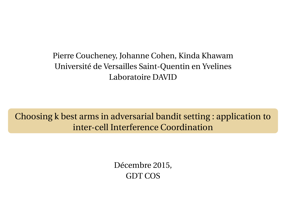Pierre Coucheney, Johanne Cohen, Kinda Khawam Université de Versailles Saint-Quentin en Yvelines Laboratoire DAVID

Choosing k best arms in adversarial bandit setting : application to inter-cell Interference Coordination

> Décembre 2015, GDT COS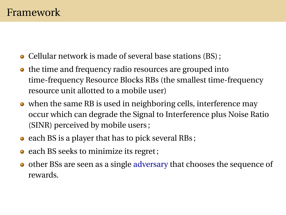- Cellular network is made of several base stations (BS) ;
- the time and frequency radio resources are grouped into time-frequency Resource Blocks RBs (the smallest time-frequency resource unit allotted to a mobile user)
- when the same RB is used in neighboring cells, interference may occur which can degrade the Signal to Interference plus Noise Ratio (SINR) perceived by mobile users ;
- $\bullet$  each BS is a player that has to pick several RBs;
- each BS seeks to minimize its regret;
- other BSs are seen as a single adversary that chooses the sequence of rewards.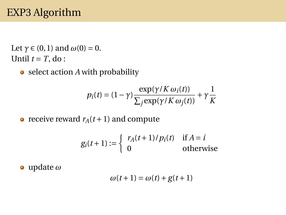# EXP3 Algorithm

Let  $\gamma \in (0, 1)$  and  $\omega(0) = 0$ . Until  $t = T$ , do:

• select action *A* with probability

$$
p_i(t) = (1 - \gamma) \frac{\exp(\gamma/K \omega_i(t))}{\sum_j \exp(\gamma/K \omega_j(t))} + \gamma \frac{1}{K}
$$

• receive reward  $r_A(t+1)$  and compute

$$
g_i(t+1) := \begin{cases} r_A(t+1)/p_i(t) & \text{if } A = i \\ 0 & \text{otherwise} \end{cases}
$$

update *ω*

$$
\omega(t+1) = \omega(t) + g(t+1)
$$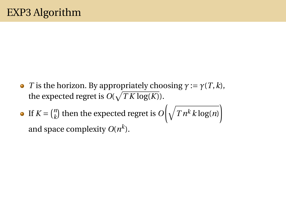- **•** *T* is the horizon. By appropriately choosing  $γ := γ(T, k)$ , the expected regret is  $O(\sqrt{TK \log(K)})$ .
- If  $K = \binom{n}{k}$  $\binom{n}{k}$  then the expected regret is  $O\!\left(\sqrt{\textstyle T\,n^k\,k\log(n)}\right)$ and space complexity  $O(n^k)$ .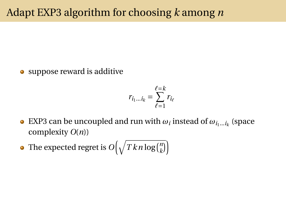• suppose reward is additive

$$
r_{i_1...i_k} = \sum_{\ell=1}^{\ell=k} r_{i_\ell}
$$

- EXP3 can be uncoupled and run with  $\omega_i$  instead of  $\omega_{i_1...i_k}$  (space complexity *O*(*n*))
- The expected regret is  $O\big(\sqrt{T\,k\,n\log(n\,k})\big)$  $\binom{n}{k}$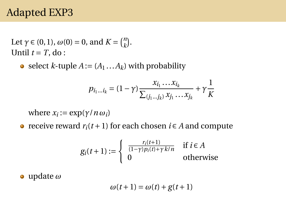### Adapted EXP3

Let  $\gamma \in (0, 1)$ ,  $\omega(0) = 0$ , and  $K = \binom{n}{k}$  $\binom{n}{k}$ . Until  $t = T$ , do:

• select *k*-tuple  $A := (A_1 ... A_k)$  with probability

$$
p_{i_1...i_k} = (1 - \gamma) \frac{x_{i_1} \dots x_{i_k}}{\sum_{(j_1...j_k)} x_{j_1} \dots x_{j_k}} + \gamma \frac{1}{K}
$$

*where*  $x_i := \exp(\gamma/n \omega_i)$ 

• receive reward  $r_i(t+1)$  for each chosen  $i \in A$  and compute

$$
g_i(t+1) := \begin{cases} \frac{r_i(t+1)}{(1-\gamma)p_i(t)+\gamma k/n} & \text{if } i \in A \\ 0 & \text{otherwise} \end{cases}
$$

update *ω*

$$
\omega(t+1) = \omega(t) + g(t+1)
$$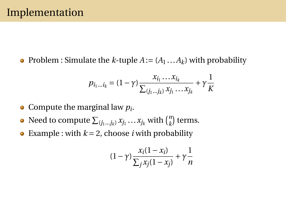• Problem : Simulate the *k*-tuple  $A := (A_1 ... A_k)$  with probability

$$
p_{i_1...i_k} = (1 - \gamma) \frac{x_{i_1} \dots x_{i_k}}{\sum_{(j_1...j_k)} x_{j_1} \dots x_{j_k}} + \gamma \frac{1}{K}
$$

- Compute the marginal law *p<sup>i</sup>* .
- Need to compute  $\sum_{(j_1...j_k)} x_{j_1} \dots x_{j_k}$  with  ${n \choose k}$  $\binom{n}{k}$  terms.
- Example : with  $k = 2$ , choose *i* with probability  $\bullet$

$$
(1-\gamma)\frac{x_i(1-x_i)}{\sum_j x_j(1-x_j)} + \gamma\frac{1}{n}
$$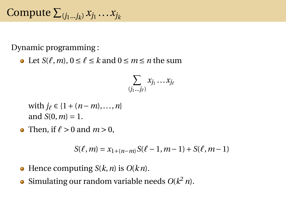Compute  $\sum_{(j_1...j_k)} x_{j_1}...x_{j_k}$ 

Dynamic programming :

• Let  $S(\ell, m)$ ,  $0 \le \ell \le k$  and  $0 \le m \le n$  the sum

$$
\sum_{(j_1\ldots j_\ell)} x_{j_1}\ldots x_{j_\ell}
$$

with 
$$
j_{\ell} \in \{1 + (n - m), ..., n\}
$$
  
and  $S(0, m) = 1$ .

• Then, if  $\ell > 0$  and  $m > 0$ ,

$$
S(\ell,m) = x_{1+(n-m)}S(\ell-1,m-1) + S(\ell,m-1)
$$

- $\bullet$  Hence computing *S*( $k$ ,  $n$ ) is *O*( $k$  $n$ ).
- Simulating our random variable needs  $O(k^2 n)$ .  $\bullet$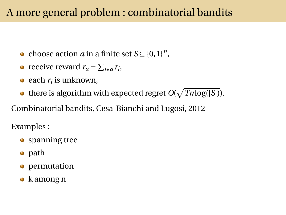## A more general problem : combinatorial bandits

- choose action *a* in a finite set  $S \subseteq \{0,1\}^n$ ,
- receive reward  $r_a = \sum_{i \in a} r_i$ ,
- each *r<sup>i</sup>* is unknown,
- there is algorithm with expected regret  $O(\sqrt{Thlog(|S|)})$ .

Combinatorial bandits, Cesa-Bianchi and Lugosi, 2012

Examples :

- spanning tree
- path
- **•** permutation
- k among n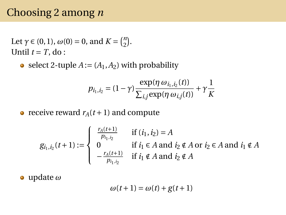### Choosing 2 among *n*

Let  $\gamma \in (0, 1)$ ,  $\omega(0) = 0$ , and  $K = \binom{n}{2}$  $\binom{n}{2}$ . Until  $t = T$ , do:

• select 2-tuple  $A := (A_1, A_2)$  with probability

$$
p_{i_1,i_2} = (1 - \gamma) \frac{\exp(\eta \omega_{i_1,i_2}(t))}{\sum_{i,j} \exp(\eta \omega_{i,j}(t))} + \gamma \frac{1}{K}
$$

• receive reward  $r_A(t+1)$  and compute

$$
g_{i_1, i_2}(t+1) := \begin{cases} \frac{r_A(t+1)}{p_{i_1, i_2}} & \text{if } (i_1, i_2) = A \\ 0 & \text{if } i_1 \in A \text{ and } i_2 \notin A \text{ or } i_2 \in A \text{ and } i_1 \notin A \\ -\frac{r_A(t+1)}{p_{i_1, i_2}} & \text{if } i_1 \notin A \text{ and } i_2 \notin A \end{cases}
$$

update *ω*

$$
\omega(t+1) = \omega(t) + g(t+1)
$$